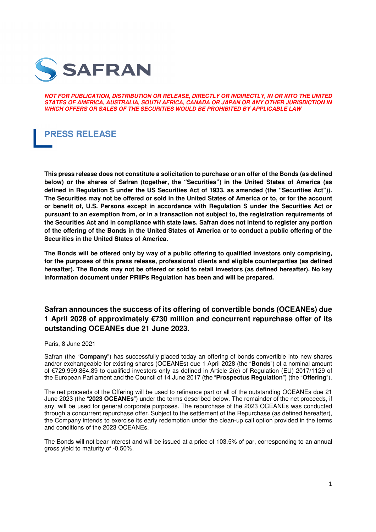

**NOT FOR PUBLICATION, DISTRIBUTION OR RELEASE, DIRECTLY OR INDIRECTLY, IN OR INTO THE UNITED STATES OF AMERICA, AUSTRALIA, SOUTH AFRICA, CANADA OR JAPAN OR ANY OTHER JURISDICTION IN WHICH OFFERS OR SALES OF THE SECURITIES WOULD BE PROHIBITED BY APPLICABLE LAW** 

# **PRESS RELEASE**

**This press release does not constitute a solicitation to purchase or an offer of the Bonds (as defined below) or the shares of Safran (together, the "Securities") in the United States of America (as defined in Regulation S under the US Securities Act of 1933, as amended (the "Securities Act")). The Securities may not be offered or sold in the United States of America or to, or for the account or benefit of, U.S. Persons except in accordance with Regulation S under the Securities Act or pursuant to an exemption from, or in a transaction not subject to, the registration requirements of the Securities Act and in compliance with state laws. Safran does not intend to register any portion of the offering of the Bonds in the United States of America or to conduct a public offering of the Securities in the United States of America.** 

**The Bonds will be offered only by way of a public offering to qualified investors only comprising, for the purposes of this press release, professional clients and eligible counterparties (as defined hereafter). The Bonds may not be offered or sold to retail investors (as defined hereafter). No key information document under PRIIPs Regulation has been and will be prepared.**

# **Safran announces the success of its offering of convertible bonds (OCEANEs) due 1 April 2028 of approximately €730 million and concurrent repurchase offer of its outstanding OCEANEs due 21 June 2023.**

### Paris, 8 June 2021

Safran (the "**Company**") has successfully placed today an offering of bonds convertible into new shares and/or exchangeable for existing shares (OCEANEs) due 1 April 2028 (the "**Bonds**") of a nominal amount of €729,999,864.89 to qualified investors only as defined in Article 2(e) of Regulation (EU) 2017/1129 of the European Parliament and the Council of 14 June 2017 (the "**Prospectus Regulation**") (the "**Offering**").

The net proceeds of the Offering will be used to refinance part or all of the outstanding OCEANEs due 21 June 2023 (the "**2023 OCEANEs**") under the terms described below. The remainder of the net proceeds, if any, will be used for general corporate purposes. The repurchase of the 2023 OCEANEs was conducted through a concurrent repurchase offer. Subject to the settlement of the Repurchase (as defined hereafter), the Company intends to exercise its early redemption under the clean-up call option provided in the terms and conditions of the 2023 OCEANEs.

The Bonds will not bear interest and will be issued at a price of 103.5% of par, corresponding to an annual gross yield to maturity of -0.50%.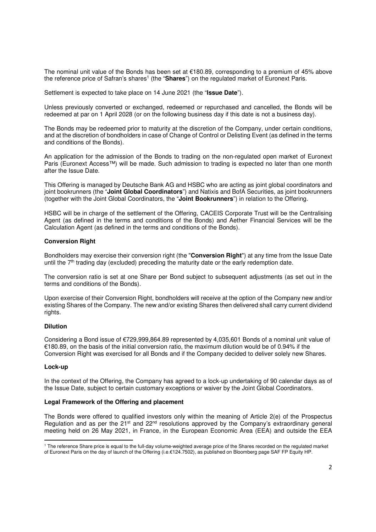The nominal unit value of the Bonds has been set at €180.89, corresponding to a premium of 45% above the reference price of Safran's shares<sup>1</sup> (the "Shares") on the regulated market of Euronext Paris.

Settlement is expected to take place on 14 June 2021 (the "**Issue Date**").

Unless previously converted or exchanged, redeemed or repurchased and cancelled, the Bonds will be redeemed at par on 1 April 2028 (or on the following business day if this date is not a business day).

The Bonds may be redeemed prior to maturity at the discretion of the Company, under certain conditions, and at the discretion of bondholders in case of Change of Control or Delisting Event (as defined in the terms and conditions of the Bonds).

An application for the admission of the Bonds to trading on the non-regulated open market of Euronext Paris (Euronext Access™) will be made. Such admission to trading is expected no later than one month after the Issue Date.

This Offering is managed by Deutsche Bank AG and HSBC who are acting as joint global coordinators and joint bookrunners (the "**Joint Global Coordinators**") and Natixis and BofA Securities, as joint bookrunners (together with the Joint Global Coordinators, the "**Joint Bookrunners**") in relation to the Offering.

HSBC will be in charge of the settlement of the Offering, CACEIS Corporate Trust will be the Centralising Agent (as defined in the terms and conditions of the Bonds) and Aether Financial Services will be the Calculation Agent (as defined in the terms and conditions of the Bonds).

### **Conversion Right**

Bondholders may exercise their conversion right (the "**Conversion Right**") at any time from the Issue Date until the  $7<sup>th</sup>$  trading day (excluded) preceding the maturity date or the early redemption date.

The conversion ratio is set at one Share per Bond subject to subsequent adjustments (as set out in the terms and conditions of the Bonds).

Upon exercise of their Conversion Right, bondholders will receive at the option of the Company new and/or existing Shares of the Company. The new and/or existing Shares then delivered shall carry current dividend rights.

### **Dilution**

Considering a Bond issue of €729,999,864.89 represented by 4,035,601 Bonds of a nominal unit value of €180.89, on the basis of the initial conversion ratio, the maximum dilution would be of 0.94% if the Conversion Right was exercised for all Bonds and if the Company decided to deliver solely new Shares.

### **Lock-up**

<u>.</u>

In the context of the Offering, the Company has agreed to a lock-up undertaking of 90 calendar days as of the Issue Date, subject to certain customary exceptions or waiver by the Joint Global Coordinators.

### **Legal Framework of the Offering and placement**

The Bonds were offered to qualified investors only within the meaning of Article 2(e) of the Prospectus Regulation and as per the  $21^{st}$  and  $22^{nd}$  resolutions approved by the Company's extraordinary general meeting held on 26 May 2021, in France, in the European Economic Area (EEA) and outside the EEA

<sup>&</sup>lt;sup>1</sup> The reference Share price is equal to the full-day volume-weighted average price of the Shares recorded on the regulated market of Euronext Paris on the day of launch of the Offering (i.e.€124.7502), as published on Bloomberg page SAF FP Equity HP.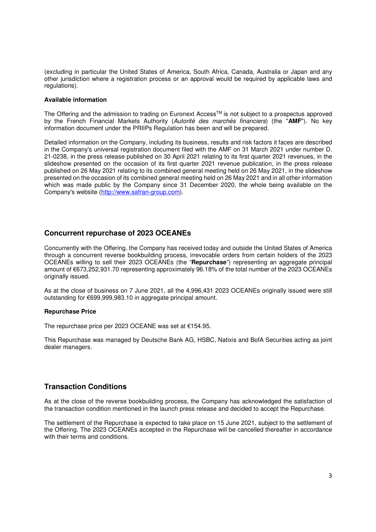(excluding in particular the United States of America, South Africa, Canada, Australia or Japan and any other jurisdiction where a registration process or an approval would be required by applicable laws and regulations).

### **Available information**

The Offering and the admission to trading on Euronext Access™ is not subject to a prospectus approved by the French Financial Markets Authority (Autorité des marchés financiers) (the "AMF"). No key information document under the PRIIPs Regulation has been and will be prepared.

Detailed information on the Company, including its business, results and risk factors it faces are described in the Company's universal registration document filed with the AMF on 31 March 2021 under number D. 21-0238, in the press release published on 30 April 2021 relating to its first quarter 2021 revenues, in the slideshow presented on the occasion of its first quarter 2021 revenue publication, in the press release published on 26 May 2021 relating to its combined general meeting held on 26 May 2021, in the slideshow presented on the occasion of its combined general meeting held on 26 May 2021 and in all other information which was made public by the Company since 31 December 2020, the whole being available on the Company's website (http://www.safran-group.com).

# **Concurrent repurchase of 2023 OCEANEs**

Concurrently with the Offering, the Company has received today and outside the United States of America through a concurrent reverse bookbuilding process, irrevocable orders from certain holders of the 2023 OCEANEs willing to sell their 2023 OCEANEs (the "**Repurchase**") representing an aggregate principal amount of €673,252,931.70 representing approximately 96.18% of the total number of the 2023 OCEANEs originally issued.

As at the close of business on 7 June 2021, all the 4,996,431 2023 OCEANEs originally issued were still outstanding for €699,999,983.10 in aggregate principal amount.

### **Repurchase Price**

The repurchase price per 2023 OCEANE was set at €154.95.

This Repurchase was managed by Deutsche Bank AG, HSBC, Natixis and BofA Securities acting as joint dealer managers.

# **Transaction Conditions**

As at the close of the reverse bookbuilding process, the Company has acknowledged the satisfaction of the transaction condition mentioned in the launch press release and decided to accept the Repurchase.

The settlement of the Repurchase is expected to take place on 15 June 2021, subject to the settlement of the Offering. The 2023 OCEANEs accepted in the Repurchase will be cancelled thereafter in accordance with their terms and conditions.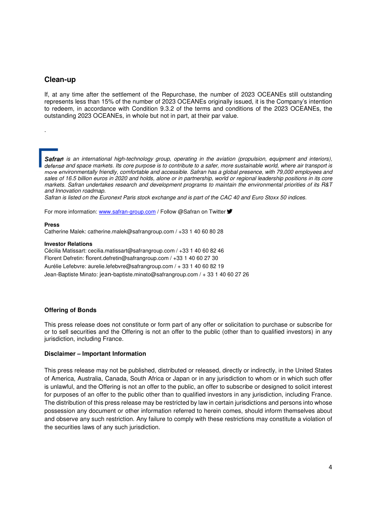# **Clean-up**

.

If, at any time after the settlement of the Repurchase, the number of 2023 OCEANEs still outstanding represents less than 15% of the number of 2023 OCEANEs originally issued, it is the Company's intention to redeem, in accordance with Condition 9.3.2 of the terms and conditions of the 2023 OCEANEs, the outstanding 2023 OCEANEs, in whole but not in part, at their par value.

**Safran** is an international high-technology group, operating in the aviation (propulsion, equipment and interiors), defense and space markets. Its core purpose is to contribute to a safer, more sustainable world, where air transport is more environmentally friendly, comfortable and accessible. Safran has a global presence, with 79,000 employees and sales of 16.5 billion euros in 2020 and holds, alone or in partnership, world or regional leadership positions in its core markets. Safran undertakes research and development programs to maintain the environmental priorities of its R&T and Innovation roadmap.

Safran is listed on the Euronext Paris stock exchange and is part of the CAC 40 and Euro Stoxx 50 indices.

For more information: www.safran-group.com / Follow @Safran on Twitter  $\blacktriangleright$ 

#### **Press**

Catherine Malek: catherine.malek@safrangroup.com / +33 1 40 60 80 28

#### **Investor Relations**

Cécilia Matissart: cecilia.matissart@safrangroup.com / +33 1 40 60 82 46 Florent Defretin: florent.defretin@safrangroup.com / +33 1 40 60 27 30 Aurélie Lefebvre: aurelie.lefebvre@safrangroup.com / + 33 1 40 60 82 19

Jean-Baptiste Minato: jean-baptiste.minato@safrangroup.com / + 33 1 40 60 27 26

#### **Offering of Bonds**

This press release does not constitute or form part of any offer or solicitation to purchase or subscribe for or to sell securities and the Offering is not an offer to the public (other than to qualified investors) in any jurisdiction, including France.

#### **Disclaimer – Important Information**

This press release may not be published, distributed or released, directly or indirectly, in the United States of America, Australia, Canada, South Africa or Japan or in any jurisdiction to whom or in which such offer is unlawful, and the Offering is not an offer to the public, an offer to subscribe or designed to solicit interest for purposes of an offer to the public other than to qualified investors in any jurisdiction, including France. The distribution of this press release may be restricted by law in certain jurisdictions and persons into whose possession any document or other information referred to herein comes, should inform themselves about and observe any such restriction. Any failure to comply with these restrictions may constitute a violation of the securities laws of any such jurisdiction.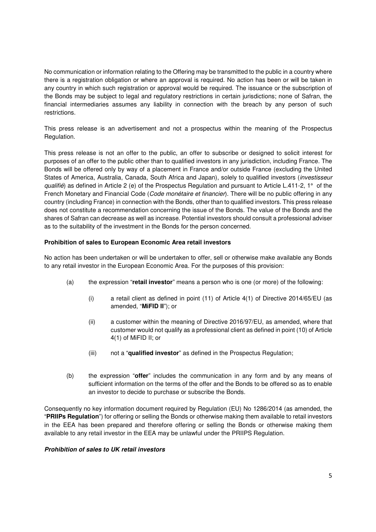No communication or information relating to the Offering may be transmitted to the public in a country where there is a registration obligation or where an approval is required. No action has been or will be taken in any country in which such registration or approval would be required. The issuance or the subscription of the Bonds may be subject to legal and regulatory restrictions in certain jurisdictions; none of Safran, the financial intermediaries assumes any liability in connection with the breach by any person of such restrictions.

This press release is an advertisement and not a prospectus within the meaning of the Prospectus Regulation.

This press release is not an offer to the public, an offer to subscribe or designed to solicit interest for purposes of an offer to the public other than to qualified investors in any jurisdiction, including France. The Bonds will be offered only by way of a placement in France and/or outside France (excluding the United States of America, Australia, Canada, South Africa and Japan), solely to qualified investors (investisseur qualifié) as defined in Article 2 (e) of the Prospectus Regulation and pursuant to Article L.411-2, 1° of the French Monetary and Financial Code (Code monétaire et financier). There will be no public offering in any country (including France) in connection with the Bonds, other than to qualified investors. This press release does not constitute a recommendation concerning the issue of the Bonds. The value of the Bonds and the shares of Safran can decrease as well as increase. Potential investors should consult a professional adviser as to the suitability of the investment in the Bonds for the person concerned.

# **Prohibition of sales to European Economic Area retail investors**

No action has been undertaken or will be undertaken to offer, sell or otherwise make available any Bonds to any retail investor in the European Economic Area. For the purposes of this provision:

- (a) the expression "**retail investor**" means a person who is one (or more) of the following:
	- (i) a retail client as defined in point (11) of Article 4(1) of Directive 2014/65/EU (as amended, "**MiFID II**"); or
	- (ii) a customer within the meaning of Directive 2016/97/EU, as amended, where that customer would not qualify as a professional client as defined in point (10) of Article 4(1) of MiFID II; or
	- (iii) not a "**qualified investor**" as defined in the Prospectus Regulation;
- (b) the expression "**offer**" includes the communication in any form and by any means of sufficient information on the terms of the offer and the Bonds to be offered so as to enable an investor to decide to purchase or subscribe the Bonds.

Consequently no key information document required by Regulation (EU) No 1286/2014 (as amended, the "**PRIIPs Regulation**") for offering or selling the Bonds or otherwise making them available to retail investors in the EEA has been prepared and therefore offering or selling the Bonds or otherwise making them available to any retail investor in the EEA may be unlawful under the PRIIPS Regulation.

### **Prohibition of sales to UK retail investors**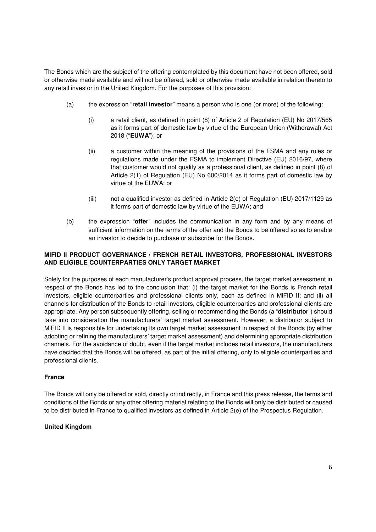The Bonds which are the subject of the offering contemplated by this document have not been offered, sold or otherwise made available and will not be offered, sold or otherwise made available in relation thereto to any retail investor in the United Kingdom. For the purposes of this provision:

- (a) the expression "**retail investor**" means a person who is one (or more) of the following:
	- (i) a retail client, as defined in point (8) of Article 2 of Regulation (EU) No 2017/565 as it forms part of domestic law by virtue of the European Union (Withdrawal) Act 2018 ("**EUWA**"); or
	- (ii) a customer within the meaning of the provisions of the FSMA and any rules or regulations made under the FSMA to implement Directive (EU) 2016/97, where that customer would not qualify as a professional client, as defined in point (8) of Article 2(1) of Regulation (EU) No 600/2014 as it forms part of domestic law by virtue of the EUWA; or
	- (iii) not a qualified investor as defined in Article 2(e) of Regulation (EU) 2017/1129 as it forms part of domestic law by virtue of the EUWA; and
- (b) the expression "**offer**" includes the communication in any form and by any means of sufficient information on the terms of the offer and the Bonds to be offered so as to enable an investor to decide to purchase or subscribe for the Bonds.

# **MIFID II PRODUCT GOVERNANCE / FRENCH RETAIL INVESTORS, PROFESSIONAL INVESTORS AND ELIGIBLE COUNTERPARTIES ONLY TARGET MARKET**

Solely for the purposes of each manufacturer's product approval process, the target market assessment in respect of the Bonds has led to the conclusion that: (i) the target market for the Bonds is French retail investors, eligible counterparties and professional clients only, each as defined in MiFID II; and (ii) all channels for distribution of the Bonds to retail investors, eligible counterparties and professional clients are appropriate. Any person subsequently offering, selling or recommending the Bonds (a "**distributor**") should take into consideration the manufacturers' target market assessment. However, a distributor subject to MiFID II is responsible for undertaking its own target market assessment in respect of the Bonds (by either adopting or refining the manufacturers' target market assessment) and determining appropriate distribution channels. For the avoidance of doubt, even if the target market includes retail investors, the manufacturers have decided that the Bonds will be offered, as part of the initial offering, only to eligible counterparties and professional clients.

# **France**

The Bonds will only be offered or sold, directly or indirectly, in France and this press release, the terms and conditions of the Bonds or any other offering material relating to the Bonds will only be distributed or caused to be distributed in France to qualified investors as defined in Article 2(e) of the Prospectus Regulation.

### **United Kingdom**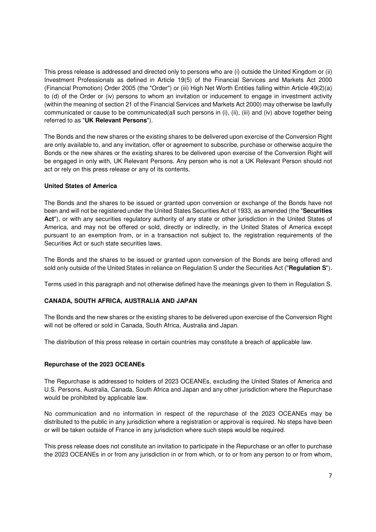This press release is addressed and directed only to persons who are (i) outside the United Kingdom or (ii) Investment Professionals as defined in Article 19(5) of the Financial Services and Markets Act 2000 (Financial Promotion) Order 2005 (the "Order") or (iii) High Net Worth Entities falling within Article 49(2)(a) to (d) of the Order or (iv) persons to whom an invitation or inducement to engage in investment activity (within the meaning of section 21 of the Financial Services and Markets Act 2000) may otherwise be lawfully communicated or cause to be communicated(all such persons in (i), (ii), (iii) and (iv) above together being referred to as "**UK Relevant Persons**").

The Bonds and the new shares or the existing shares to be delivered upon exercise of the Conversion Right are only available to, and any invitation, offer or agreement to subscribe, purchase or otherwise acquire the Bonds or the new shares or the existing shares to be delivered upon exercise of the Conversion Right will be engaged in only with, UK Relevant Persons. Any person who is not a UK Relevant Person should not act or rely on this press release or any of its contents.

### **United States of America**

The Bonds and the shares to be issued or granted upon conversion or exchange of the Bonds have not been and will not be registered under the United States Securities Act of 1933, as amended (the "**Securities Act**"), or with any securities regulatory authority of any state or other jurisdiction in the United States of America, and may not be offered or sold, directly or indirectly, in the United States of America except pursuant to an exemption from, or in a transaction not subject to, the registration requirements of the Securities Act or such state securities laws.

The Bonds and the shares to be issued or granted upon conversion of the Bonds are being offered and sold only outside of the United States in reliance on Regulation S under the Securities Act ("**Regulation S**").

Terms used in this paragraph and not otherwise defined have the meanings given to them in Regulation S.

### **CANADA, SOUTH AFRICA, AUSTRALIA AND JAPAN**

The Bonds and the new shares or the existing shares to be delivered upon exercise of the Conversion Right will not be offered or sold in Canada, South Africa, Australia and Japan.

The distribution of this press release in certain countries may constitute a breach of applicable law.

### **Repurchase of the 2023 OCEANEs**

The Repurchase is addressed to holders of 2023 OCEANEs, excluding the United States of America and U.S. Persons, Australia, Canada, South Africa and Japan and any other jurisdiction where the Repurchase would be prohibited by applicable law.

No communication and no information in respect of the repurchase of the 2023 OCEANEs may be distributed to the public in any jurisdiction where a registration or approval is required. No steps have been or will be taken outside of France in any jurisdiction where such steps would be required.

This press release does not constitute an invitation to participate in the Repurchase or an offer to purchase the 2023 OCEANEs in or from any jurisdiction in or from which, or to or from any person to or from whom,